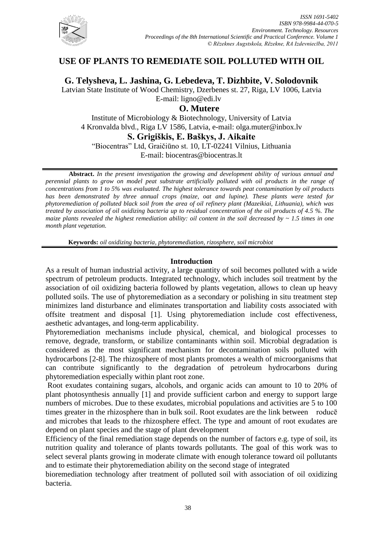

## **USE OF PLANTS TO REMEDIATE SOIL POLLUTED WITH OIL**

**G. Telysheva, L. Jashina, G. Lebedeva, T. Dizhbite, V. Solodovnik**

Latvian State Institute of Wood Chemistry, Dzerbenes st. 27, Riga, LV 1006, Latvia E-mail: [ligno@edi.lv](mailto:ligno@edi.lv)

# **O. Mutere**

Institute of Microbiology & Biotechnology, University of Latvia 4 Kronvalda blvd., Riga LV 1586, Latvia, e-mail: olga.muter@inbox.lv

**S. Grigiškis, E. Baškys, J. Aikaite**

"Biocentras" Ltd, Graičiūno st. 10, LT-02241 Vilnius, Lithuania E-mail: [biocentras@biocentras.lt](mailto:biocentras@biocentras.lt)

**Abstract.** *In the present investigation the growing and development ability of various annual and perennial plants to grow on model peat substrate artificially polluted with oil products in the range of concentrations from 1 to 5% was evaluated. The highest tolerance towards peat contamination by oil products has been demonstrated by three annual crops (maize, oat and lupine). These plants were tested for phytoremediation of polluted black soil from the area of oil refinery plant (Mazeikiai, Lithuania), which was treated by association of oil oxidizing bacteria up to residual concentration of the oil products of 4.5 %. The maize plants revealed the highest remediation ability: oil content in the soil decreased by ~ 1.5 times in one month plant vegetation.* 

**Keywords:** *oil oxidizing bacteria, phytoremediation, rizosphere, soil microbiot*

## **Introduction**

As a result of human industrial activity, a large quantity of soil becomes polluted with a wide spectrum of petroleum products. Integrated technology, which includes soil treatment by the association of oil oxidizing bacteria followed by plants vegetation, allows to clean up heavy polluted soils. The use of phytoremediation as a secondary or polishing in situ treatment step minimizes land disturbance and eliminates transportation and liability costs associated with offsite treatment and disposal [1]. Using phytoremediation include cost effectiveness, aesthetic advantages, and long-term applicability.

Phytoremediation mechanisms include physical, chemical, and biological processes to remove, degrade, transform, or stabilize contaminants within soil. Microbial degradation is considered as the most significant mechanism for decontamination soils polluted with hydrocarbons [2-8]. The rhizosphere of most plants promotes a wealth of microorganisms that can contribute significantly to the degradation of petroleum hydrocarbons during phytoremediation especially within plant root zone.

Root exudates containing sugars, alcohols, and organic acids can amount to 10 to 20% of plant photosynthesis annually [1] and provide sufficient carbon and energy to support large numbers of microbes. Due to these exudates, microbial populations and activities are 5 to 100 times greater in the rhizosphere than in bulk soil. Root exudates are the link between roducē and microbes that leads to the rhizosphere effect. The type and amount of root exudates are depend on plant species and the stage of plant development

Efficiency of the final remediation stage depends on the number of factors e.g. type of soil, its nutrition quality and tolerance of plants towards pollutants. The goal of this work was to select several plants growing in moderate climate with enough tolerance toward oil pollutants and to estimate their phytoremediation ability on the second stage of integrated

bioremediation technology after treatment of polluted soil with association of oil oxidizing bacteria.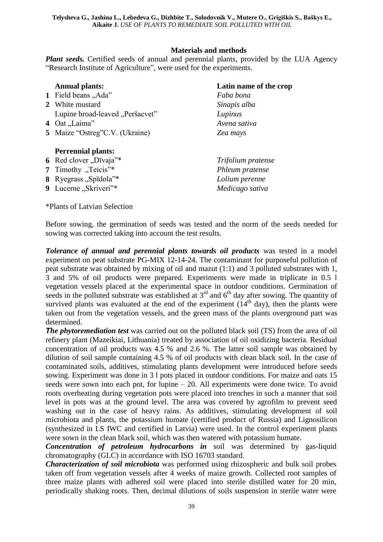## **Materials and methods**

*Plant seeds.* Certified seeds of annual and perennial plants, provided by the LUA Agency "Research Institute of Agriculture", were used for the experiments.

|   | <b>Annual plants:</b>           | Latin name of the crop |
|---|---------------------------------|------------------------|
|   | 1 Field beans "Ada"             | Faba bona              |
|   | 2 White mustard                 | Sinapis alba           |
|   | Lupine broad-leaved "Peršacvet" | Lupinus                |
|   | 4 Oat "Laima"                   | Avena sativa           |
|   | 5 Maize "Ostreg"C.V. (Ukraine)  | Zea mays               |
|   | <b>Perrennial plants:</b>       |                        |
|   | 6 Red clover "Dīvaja"*          | Trifolium pratense     |
|   | 7 Timothy "Teicis"*             | Phleum pratense        |
|   | 8 Ryegrass "Spīdola"*           | Lolium perenne         |
| 9 | Lucerne "Skriveri"*             | Medicago sativa        |

\*Plants of Latvian Selection

Before sowing, the germination of seeds was tested and the norm of the seeds needed for sowing was corrected taking into account the test results.

*Tolerance of annual and perennial plants towards oil products* was tested in a model experiment on peat substrate PG-MIX 12-14-24. The contaminant for purposeful pollution of peat substrate was obtained by mixing of oil and mazut (1:1) and 3 polluted substrates with 1, 3 and 5% of oil products were prepared. Experiments were made in triplicate in 0.5 l vegetation vessels placed at the experimental space in outdoor conditions. Germination of seeds in the polluted substrate was established at  $3<sup>rd</sup>$  and  $6<sup>th</sup>$  day after sowing. The quantity of survived plants was evaluated at the end of the experiment  $(14<sup>th</sup> \, \text{day})$ , then the plants were taken out from the vegetation vessels, and the green mass of the plants overground part was determined.

*The phytoremediation test* was carried out on the polluted black soil (TS) from the area of oil refinery plant (Mazeikiai, Lithuania) treated by association of oil oxidizing bacteria. Residual concentration of oil products was 4.5 % and 2.6 %. The latter soil sample was obtained by dilution of soil sample containing 4.5 % of oil products with clean black soil. In the case of contaminated soils, additives, stimulating plants development were introduced before seeds sowing. Experiment was done in 3 l pots placed in outdoor conditions. For maize and oats 15 seeds were sown into each pot, for lupine – 20. All experiments were done twice. To avoid roots overheating during vegetation pots were placed into trenches in such a manner that soil level in pots was at the ground level. The area was covered by agrofilm to prevent seed washing out in the case of heavy rains. As additives, stimulating development of soil microbiota and plants, the potassium humate (certified product of Russia) and Lignosilicon (synthesized in LS IWC and certified in Latvia) were used. In the control experiment plants were sown in the clean black soil, which was then watered with potassium humate.

*Concentration of petroleum hydrocarbons in* soil was determined by gas-liquid chromatography (GLC) in accordance with ISO 16703 standard.

*Characterization of soil microbiota* was performed using rhizospheric and bulk soil probes taken off from vegetation vessels after 4 weeks of maize growth. Collected root samples of three maize plants with adhered soil were placed into sterile distilled water for 20 min, periodically shaking roots. Then, decimal dilutions of soils suspension in sterile water were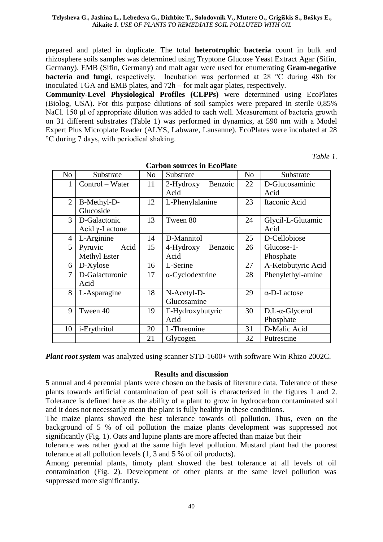prepared and plated in duplicate. The total **heterotrophic bacteria** count in bulk and rhizosphere soils samples was determined using Tryptone Glucose Yeast Extract Agar (Sifin, Germany). EMB (Sifin, Germany) and malt agar were used for enumerating **Gram-negative bacteria and fungi**, respectively. Incubation was performed at 28 °C during 48h for inoculated TGA and EMB plates, and 72h – for malt agar plates, respectively.

**Community-Level Physiological Profiles (CLPPs)** were determined using EcoPlates (Biolog, USA). For this purpose dilutions of soil samples were prepared in sterile 0,85% NaCl. 150 μl of appropriate dilution was added to each well. Measurement of bacteria growth on 31 different substrates (Table 1) was performed in dynamics, at 590 nm with a Model Expert Plus Microplate Reader (ALYS, Labware, Lausanne). EcoPlates were incubated at 28 °C during 7 days, with periodical shaking.

*Table 1.*

| <b>Carbon sources in EcoPlate</b> |                        |    |                         |                |                            |  |  |  |
|-----------------------------------|------------------------|----|-------------------------|----------------|----------------------------|--|--|--|
| No                                | Substrate              | No | Substrate               | N <sub>o</sub> | Substrate                  |  |  |  |
| 1                                 | Control – Water        | 11 | $2-Hydroxy$<br>Benzoic  | 22             | D-Glucosaminic             |  |  |  |
|                                   |                        |    | Acid                    |                | Acid                       |  |  |  |
| $\overline{2}$                    | B-Methyl-D-            | 12 | L-Phenylalanine         | 23             | Itaconic Acid              |  |  |  |
|                                   | Glucoside              |    |                         |                |                            |  |  |  |
| 3                                 | D-Galactonic           | 13 | Tween 80                | 24             | Glycil-L-Glutamic          |  |  |  |
|                                   | Acid $\gamma$ -Lactone |    |                         |                | Acid                       |  |  |  |
| $\overline{4}$                    | L-Arginine             | 14 | D-Mannitol              | 25             | D-Cellobiose               |  |  |  |
| 5                                 | Pyruvic<br>Acid        | 15 | 4-Hydroxy<br>Benzoic    | 26             | Glucose-1-                 |  |  |  |
|                                   | Methyl Ester           |    | Acid                    |                | Phosphate                  |  |  |  |
| 6                                 | D-Xylose               | 16 | L-Serine                | 27             | A-Ketobutyric Acid         |  |  |  |
| 7                                 | D-Galacturonic         | 17 | $\alpha$ -Cyclodextrine | 28             | Phenylethyl-amine          |  |  |  |
|                                   | Acid                   |    |                         |                |                            |  |  |  |
| 8                                 | L-Asparagine           | 18 | N-Acetyl-D-             | 29             | $\alpha$ -D-Lactose        |  |  |  |
|                                   |                        |    | Glucosamine             |                |                            |  |  |  |
| 9                                 | Tween 40               | 19 | T-Hydroxybutyric        | 30             | $D,L$ - $\alpha$ -Glycerol |  |  |  |
|                                   |                        |    | Acid                    |                | Phosphate                  |  |  |  |
| 10                                | <i>i</i> -Erythritol   | 20 | L-Threonine             | 31             | D-Malic Acid               |  |  |  |
|                                   |                        | 21 | Glycogen                | 32             | Putrescine                 |  |  |  |

*Plant root system* was analyzed using scanner STD-1600+ with software Win Rhizo 2002C.

#### **Results and discussion**

5 annual and 4 perennial plants were chosen on the basis of literature data. Tolerance of these plants towards artificial contamination of peat soil is characterized in the figures 1 and 2. Tolerance is defined here as the ability of a plant to grow in hydrocarbon contaminated soil and it does not necessarily mean the plant is fully healthy in these conditions.

The maize plants showed the best tolerance towards oil pollution. Thus, even on the background of 5 % of oil pollution the maize plants development was suppressed not significantly (Fig. 1). Oats and lupine plants are more affected than maize but their

tolerance was rather good at the same high level pollution. Mustard plant had the poorest tolerance at all pollution levels (1, 3 and 5 % of oil products).

Among perennial plants, timoty plant showed the best tolerance at all levels of oil contamination (Fig. 2). Development of other plants at the same level pollution was suppressed more significantly.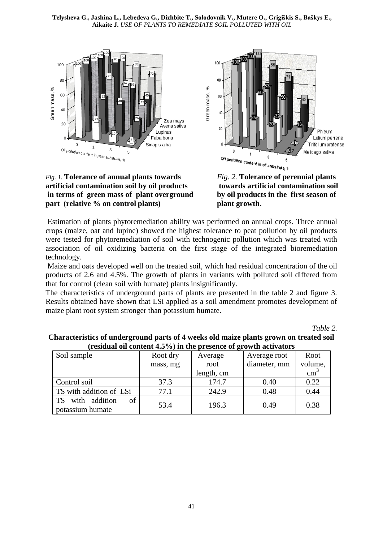





*Fig. 2.* **Tolerance of perennial plants towards artificial contamination soil by oil products in the first season of plant growth.**

Estimation of plants phytoremediation ability was performed on annual crops. Three annual crops (maize, oat and lupine) showed the highest tolerance to peat pollution by oil products were tested for phytoremediation of soil with technogenic pollution which was treated with association of oil oxidizing bacteria on the first stage of the integrated bioremediation technology.

Maize and oats developed well on the treated soil, which had residual concentration of the oil products of 2.6 and 4.5%. The growth of plants in variants with polluted soil differed from that for control (clean soil with humate) plants insignificantly.

The characteristics of underground parts of plants are presented in the table 2 and figure 3. Results obtained have shown that LSi applied as a soil amendment promotes development of maize plant root system stronger than potassium humate.

*Table 2.*

| Testual on content $\pi\omega$ /0) in the presence or growth activators |                     |            |              |               |  |  |  |  |  |
|-------------------------------------------------------------------------|---------------------|------------|--------------|---------------|--|--|--|--|--|
| Soil sample                                                             | Root dry<br>Average |            | Average root | Root          |  |  |  |  |  |
|                                                                         | mass, mg            | root       |              | volume,       |  |  |  |  |  |
|                                                                         |                     | length, cm |              | $\text{cm}^3$ |  |  |  |  |  |
| Control soil                                                            | 37.3                | 174.7      | 0.40         | 0.22          |  |  |  |  |  |
| TS with addition of LSi                                                 | 77.1                | 242.9      | 0.48         | 0.44          |  |  |  |  |  |
| of<br><b>TS</b><br>with<br>addition<br>potassium humate                 | 53.4                | 196.3      | 0.49         | 0.38          |  |  |  |  |  |

**Characteristics of underground parts of 4 weeks old maize plants grown on treated soil (residual oil content 4.5%) in the presence of growth activators**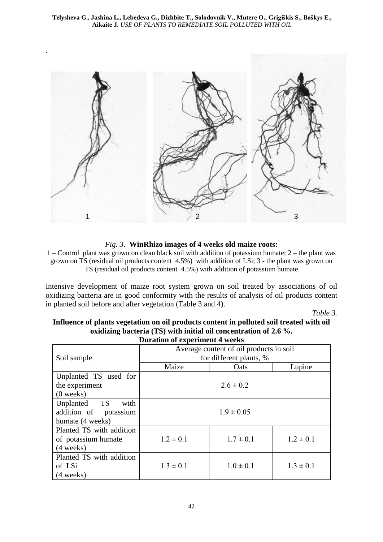

*Fig. 3*. **WinRhizo images of 4 weeks old maize roots:**

1 – Control plant was grown on clean black soil with addition of potassium humate; 2 – the plant was grown on TS (residual oil products content 4.5%) with addition of LSi; 3 - the plant was grown on TS (residual oil products content 4.5%) with addition of potassium humate

Intensive development of maize root system grown on soil treated by associations of oil oxidizing bacteria are in good conformity with the results of analysis of oil products content in planted soil before and after vegetation (Table 3 and 4).

*Table 3.*

| <b>Duration of experiment 4 weeks</b>   |               |               |  |  |  |  |  |
|-----------------------------------------|---------------|---------------|--|--|--|--|--|
| Average content of oil products in soil |               |               |  |  |  |  |  |
| for different plants, %                 |               |               |  |  |  |  |  |
| Maize                                   | Oats          | Lupine        |  |  |  |  |  |
|                                         |               |               |  |  |  |  |  |
| $2.6 \pm 0.2$                           |               |               |  |  |  |  |  |
|                                         |               |               |  |  |  |  |  |
| $1.9 \pm 0.05$                          |               |               |  |  |  |  |  |
|                                         |               |               |  |  |  |  |  |
|                                         |               |               |  |  |  |  |  |
| $1.2 \pm 0.1$                           | $1.7 \pm 0.1$ | $1.2 \pm 0.1$ |  |  |  |  |  |
|                                         |               |               |  |  |  |  |  |
|                                         |               |               |  |  |  |  |  |
| $1.3 \pm 0.1$                           | $1.0 \pm 0.1$ | $1.3 \pm 0.1$ |  |  |  |  |  |
|                                         |               |               |  |  |  |  |  |
|                                         |               |               |  |  |  |  |  |

| Influence of plants vegetation on oil products content in polluted soil treated with oil |                                                                      |  |  |  |  |
|------------------------------------------------------------------------------------------|----------------------------------------------------------------------|--|--|--|--|
|                                                                                          | oxidizing bacteria (TS) with initial oil concentration of 2.6 $\%$ . |  |  |  |  |
|                                                                                          |                                                                      |  |  |  |  |

42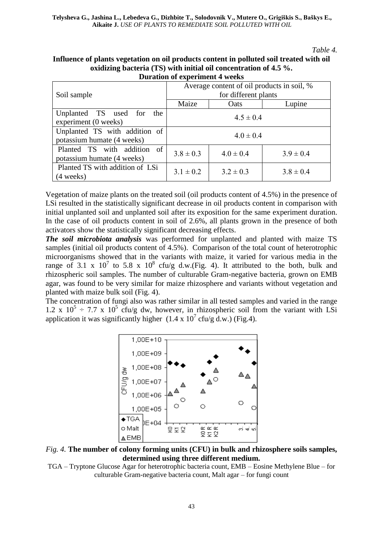#### *Table 4.*

| Influence of plants vegetation on oil products content in polluted soil treated with oil |
|------------------------------------------------------------------------------------------|
| oxidizing bacteria (TS) with initial oil concentration of 4.5 %.                         |
| Duration of experiment 4 weeks                                                           |

|                                                             | Average content of oil products in soil, % |               |               |  |  |  |  |
|-------------------------------------------------------------|--------------------------------------------|---------------|---------------|--|--|--|--|
| Soil sample                                                 | for different plants                       |               |               |  |  |  |  |
|                                                             | Maize                                      | Oats          | Lupine        |  |  |  |  |
| Unplanted TS used for the<br>experiment (0 weeks)           | $4.5 \pm 0.4$                              |               |               |  |  |  |  |
| Unplanted TS with addition of<br>potassium humate (4 weeks) | $4.0 \pm 0.4$                              |               |               |  |  |  |  |
| Planted TS with addition of<br>potassium humate (4 weeks)   | $3.8 \pm 0.3$                              | $4.0 \pm 0.4$ | $3.9 \pm 0.4$ |  |  |  |  |
| Planted TS with addition of LSi<br>(4 weeks)                | $3.1 \pm 0.2$                              | $3.2 \pm 0.3$ | $3.8 \pm 0.4$ |  |  |  |  |

Vegetation of maize plants on the treated soil (oil products content of 4.5%) in the presence of LSi resulted in the statistically significant decrease in oil products content in comparison with initial unplanted soil and unplanted soil after its exposition for the same experiment duration. In the case of oil products content in soil of 2.6%, all plants grown in the presence of both activators show the statistically significant decreasing effects.

*The soil microbiota analysis* was performed for unplanted and planted with maize TS samples (initial oil products content of 4.5%). Comparison of the total count of heterotrophic microorganisms showed that in the variants with maize, it varied for various media in the range of 3.1 x  $10^7$  to 5.8 x  $10^8$  cfu/g d.w. (Fig. 4). It attributed to the both, bulk and rhizospheric soil samples. The number of culturable Gram-negative bacteria, grown on EMB agar, was found to be very similar for maize rhizosphere and variants without vegetation and planted with maize bulk soil (Fig. 4).

The concentration of fungi also was rather similar in all tested samples and varied in the range 1.2 x  $10^5 \div 7.7$  x  $10^5$  cfu/g dw, however, in rhizospheric soil from the variant with LSi application it was significantly higher  $(1.4 \times 10^7 \text{ cftu/g d.w.})$  (Fig.4).



*Fig. 4.* **The number of colony forming units (CFU) in bulk and rhizosphere soils samples, determined using three different medium.** 

TGA – Tryptone Glucose Agar for heterotrophic bacteria count, EMB – Eosine Methylene Blue – for culturable Gram-negative bacteria count, Malt agar – for fungi count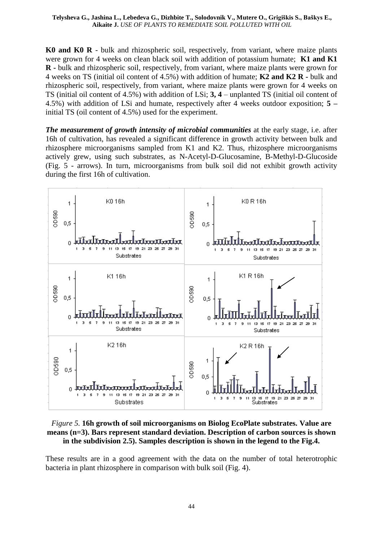**K0 and K0 R** - bulk and rhizospheric soil, respectively, from variant, where maize plants were grown for 4 weeks on clean black soil with addition of potassium humate; **K1 and K1 R -** bulk and rhizospheric soil, respectively, from variant, where maize plants were grown for 4 weeks on TS (initial oil content of 4.5%) with addition of humate; **K2 and K2 R -** bulk and rhizospheric soil, respectively, from variant, where maize plants were grown for 4 weeks on TS (initial oil content of 4.5%) with addition of LSi; **3, 4** – unplanted TS (initial oil content of 4.5%) with addition of LSi and humate, respectively after 4 weeks outdoor exposition; **5 –** initial TS (oil content of 4.5%) used for the experiment.

*The measurement of growth intensity of microbial communities* at the early stage, i.e. after 16h of cultivation, has revealed a significant difference in growth activity between bulk and rhizosphere microorganisms sampled from K1 and K2. Thus, rhizosphere microorganisms actively grew, using such substrates, as N-Acetyl-D-Glucosamine, B-Methyl-D-Glucoside (Fig. 5 - arrows). In turn, microorganisms from bulk soil did not exhibit growth activity during the first 16h of cultivation.



## *Figure 5.* **16h growth of soil microorganisms on Biolog EcoPlate substrates. Value are means (n=3). Bars represent standard deviation. Description of carbon sources is shown in the subdivision 2.5). Samples description is shown in the legend to the Fig.4.**

These results are in a good agreement with the data on the number of total heterotrophic bacteria in plant rhizosphere in comparison with bulk soil (Fig. 4).